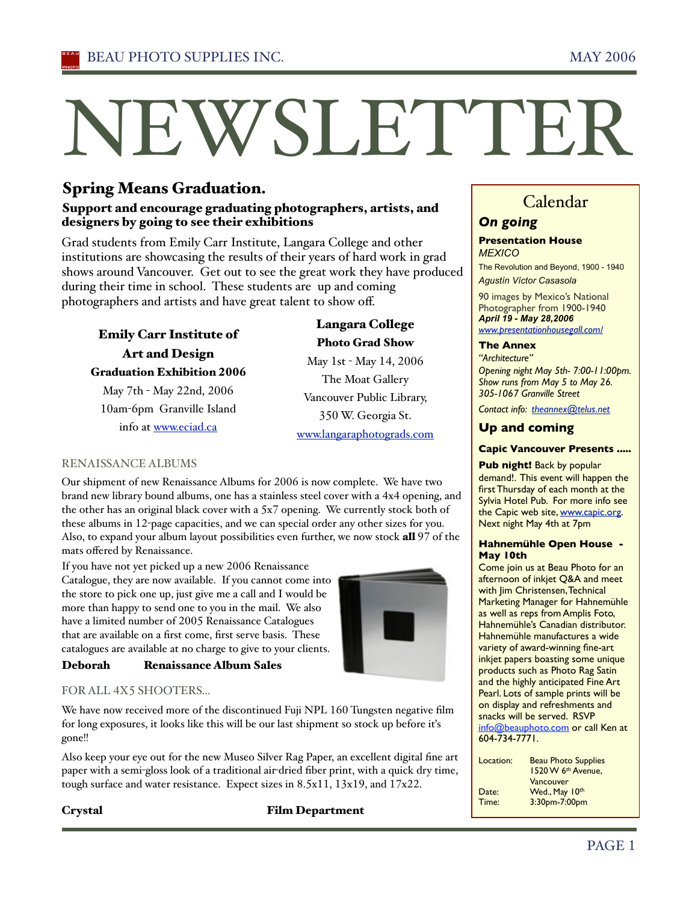# NEWSLETTER

# Spring Means Graduation.

#### Support and encourage graduating photographers, artists, and designers by going to see their exhibitions

Grad students from Emily Carr Institute, Langara College and other institutions are showcasing the results of their years of hard work in grad shows around Vancouver. Get out to see the great work they have produced during their time in school. These students are up and coming photographers and artists and have great talent to show off.

Emily Carr Institute of Art and Design Graduation Exhibition 2006 May 7th - May 22nd, 2006 10am-6pm Granville Island info at www.eciad.ca

# Langara College Photo Grad Show

May 1st - May 14, 2006 The Moat Gallery Vancouver Public Library, 350 W. Georgia St. www.langaraphotograds.com

#### RENAISSANCE ALBUMS

Our shipment of new Renaissance Albums for 2006 is now complete. We have two brand new library bound albums, one has a stainless steel cover with a 4x4 opening, and the other has an original black cover with a 5x7 opening. We currently stock both of these albums in 12-page capacities, and we can special order any other sizes for you. Also, to expand your album layout possibilities even further, we now stock all 97 of the mats offered by Renaissance.

If you have not yet picked up a new 2006 Renaissance Catalogue, they are now available. If you cannot come into the store to pick one up, just give me a call and I would be more than happy to send one to you in the mail. We also have a limited number of 2005 Renaissance Catalogues that are available on a first come, first serve basis. These catalogues are available at no charge to give to your clients.



## Deborah Renaissance Album Sales

#### FOR ALL 4X5 SHOOTERS...

We have now received more of the discontinued Fuji NPL 160 Tungsten negative film for long exposures, it looks like this will be our last shipment so stock up before iťs gone!!

Also keep your eye out for the new Museo Silver Rag Paper, an excellent digital fine art paper with a semi-gloss look of a traditional air-dried fiber print, with a quick dry time, tough surface and water resistance. Expect sizes in 8.5x11, 13x19, and 17x22.

#### Crystal Film Department

# Calendar

# *On going*

#### **Presentation House** *MEXICO*

The Revolution and Beyond, 1900 - 1940 *Agustín Víctor Casasola* 

90 images by Mexico's National Photographer from 1900-1940 *April 19 - May 28,2006 www.presentationhousegall.com/*

#### **The Annex**

*"Architecture" Opening night May 5th- 7:00-11:00pm. Show runs from May 5 to May 26. 305-1067 Granville Street* 

*Contact info: theannex@telus.net*

### **Up and coming**

#### **Capic Vancouver Presents .....**

**Pub night! Back by popular** demand!. This event will happen the first Thursday of each month at the Sylvia Hotel Pub. For more info see the Capic web site, www.capic.org. Next night May 4th at 7pm

#### **Hahnemühle Open House - May 10th**

Come join us at Beau Photo for an afternoon of inkjet Q&A and meet with Jim Christensen, Technical Marketing Manager for Hahnemühle as well as reps from Amplis Foto, Hahnemühle's Canadian distributor. Hahnemühle manufactures a wide variety of award-winning fine-art inkjet papers boasting some unique products such as Photo Rag Satin and the highly anticipated Fine Art Pearl. Lots of sample prints will be on display and refreshments and snacks will be served. RSVP info@beauphoto.com or call Ken at 604-734-7771.

| Location: | <b>Beau Photo Supplies</b><br>1520 W 6th Avenue. |
|-----------|--------------------------------------------------|
|           | Vancouver                                        |
| Date:     | Wed., May 10th                                   |
| Time:     | 3:30pm-7:00pm                                    |